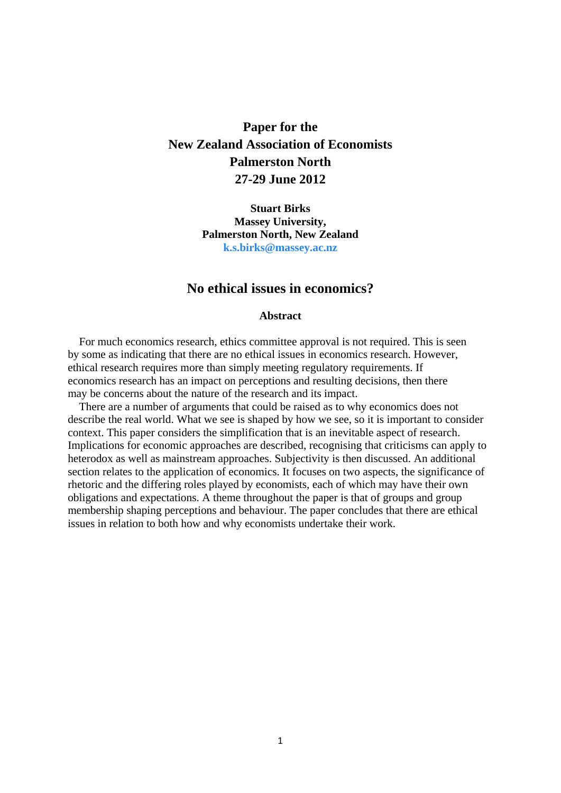# **Paper for the New Zealand Association of Economists Palmerston North 27-29 June 2012**

**Stuart Birks Massey University, Palmerston North, New Zealand [k.s.birks@massey.ac.nz](mailto:k.s.birks@massey.ac.nz)**

## **No ethical issues in economics?**

## **Abstract**

For much economics research, ethics committee approval is not required. This is seen by some as indicating that there are no ethical issues in economics research. However, ethical research requires more than simply meeting regulatory requirements. If economics research has an impact on perceptions and resulting decisions, then there may be concerns about the nature of the research and its impact.

There are a number of arguments that could be raised as to why economics does not describe the real world. What we see is shaped by how we see, so it is important to consider context. This paper considers the simplification that is an inevitable aspect of research. Implications for economic approaches are described, recognising that criticisms can apply to heterodox as well as mainstream approaches. Subjectivity is then discussed. An additional section relates to the application of economics. It focuses on two aspects, the significance of rhetoric and the differing roles played by economists, each of which may have their own obligations and expectations. A theme throughout the paper is that of groups and group membership shaping perceptions and behaviour. The paper concludes that there are ethical issues in relation to both how and why economists undertake their work.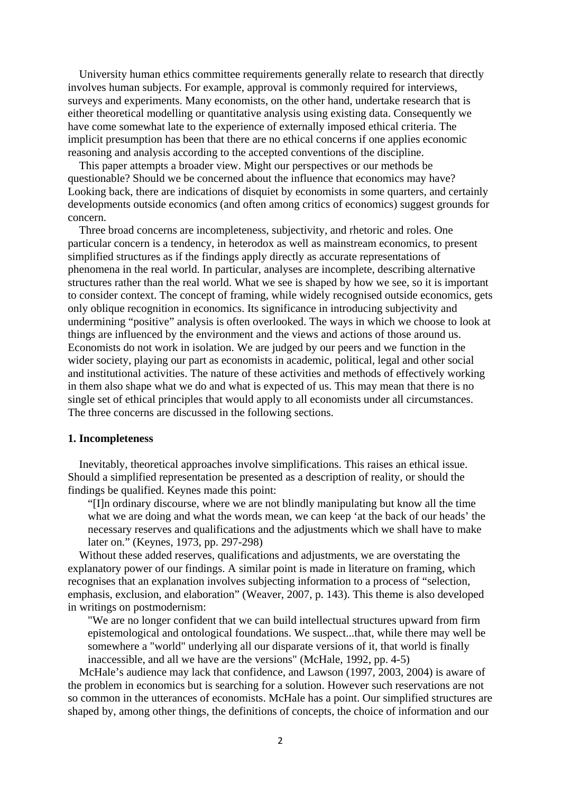University human ethics committee requirements generally relate to research that directly involves human subjects. For example, approval is commonly required for interviews, surveys and experiments. Many economists, on the other hand, undertake research that is either theoretical modelling or quantitative analysis using existing data. Consequently we have come somewhat late to the experience of externally imposed ethical criteria. The implicit presumption has been that there are no ethical concerns if one applies economic reasoning and analysis according to the accepted conventions of the discipline.

This paper attempts a broader view. Might our perspectives or our methods be questionable? Should we be concerned about the influence that economics may have? Looking back, there are indications of disquiet by economists in some quarters, and certainly developments outside economics (and often among critics of economics) suggest grounds for concern.

Three broad concerns are incompleteness, subjectivity, and rhetoric and roles. One particular concern is a tendency, in heterodox as well as mainstream economics, to present simplified structures as if the findings apply directly as accurate representations of phenomena in the real world. In particular, analyses are incomplete, describing alternative structures rather than the real world. What we see is shaped by how we see, so it is important to consider context. The concept of framing, while widely recognised outside economics, gets only oblique recognition in economics. Its significance in introducing subjectivity and undermining "positive" analysis is often overlooked. The ways in which we choose to look at things are influenced by the environment and the views and actions of those around us. Economists do not work in isolation. We are judged by our peers and we function in the wider society, playing our part as economists in academic, political, legal and other social and institutional activities. The nature of these activities and methods of effectively working in them also shape what we do and what is expected of us. This may mean that there is no single set of ethical principles that would apply to all economists under all circumstances. The three concerns are discussed in the following sections.

### **1. Incompleteness**

Inevitably, theoretical approaches involve simplifications. This raises an ethical issue. Should a simplified representation be presented as a description of reality, or should the findings be qualified. Keynes made this point:

"[I]n ordinary discourse, where we are not blindly manipulating but know all the time what we are doing and what the words mean, we can keep 'at the back of our heads' the necessary reserves and qualifications and the adjustments which we shall have to make later on." (Keynes, 1973, pp. 297-298)

Without these added reserves, qualifications and adjustments, we are overstating the explanatory power of our findings. A similar point is made in literature on framing, which recognises that an explanation involves subjecting information to a process of "selection, emphasis, exclusion, and elaboration" (Weaver, 2007, p. 143). This theme is also developed in writings on postmodernism:

"We are no longer confident that we can build intellectual structures upward from firm epistemological and ontological foundations. We suspect...that, while there may well be somewhere a "world" underlying all our disparate versions of it, that world is finally inaccessible, and all we have are the versions" (McHale, 1992, pp. 4-5)

McHale's audience may lack that confidence, and Lawson (1997, 2003, 2004) is aware of the problem in economics but is searching for a solution. However such reservations are not so common in the utterances of economists. McHale has a point. Our simplified structures are shaped by, among other things, the definitions of concepts, the choice of information and our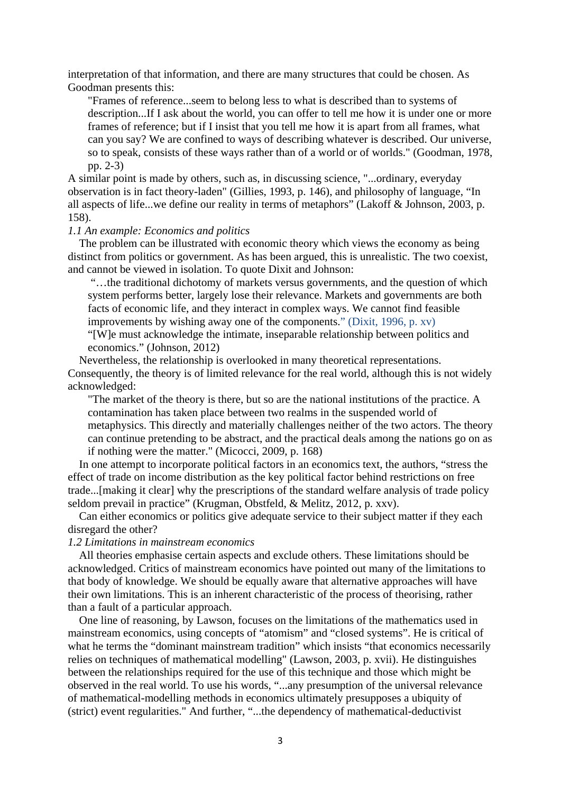interpretation of that information, and there are many structures that could be chosen. As Goodman presents this:

"Frames of reference...seem to belong less to what is described than to systems of description...If I ask about the world, you can offer to tell me how it is under one or more frames of reference; but if I insist that you tell me how it is apart from all frames, what can you say? We are confined to ways of describing whatever is described. Our universe, so to speak, consists of these ways rather than of a world or of worlds." (Goodman, 1978, pp. 2-3)

A similar point is made by others, such as, in discussing science, "...ordinary, everyday observation is in fact theory-laden" (Gillies, 1993, p. 146), and philosophy of language, "In all aspects of life...we define our reality in terms of metaphors" (Lakoff & Johnson, 2003, p. 158).

### *1.1 An example: Economics and politics*

The problem can be illustrated with economic theory which views the economy as being distinct from politics or government. As has been argued, this is unrealistic. The two coexist, and cannot be viewed in isolation. To quote Dixit and Johnson:

"…the traditional dichotomy of markets versus governments, and the question of which system performs better, largely lose their relevance. Markets and governments are both facts of economic life, and they interact in complex ways. We cannot find feasible improvements by wishing away one of the components." (Dixit, 1996, p. xv)

"[W]e must acknowledge the intimate, inseparable relationship between politics and economics." (Johnson, 2012)

Nevertheless, the relationship is overlooked in many theoretical representations. Consequently, the theory is of limited relevance for the real world, although this is not widely acknowledged:

"The market of the theory is there, but so are the national institutions of the practice. A contamination has taken place between two realms in the suspended world of metaphysics. This directly and materially challenges neither of the two actors. The theory can continue pretending to be abstract, and the practical deals among the nations go on as if nothing were the matter." (Micocci, 2009, p. 168)

In one attempt to incorporate political factors in an economics text, the authors, "stress the effect of trade on income distribution as the key political factor behind restrictions on free trade...[making it clear] why the prescriptions of the standard welfare analysis of trade policy seldom prevail in practice" (Krugman, Obstfeld, & Melitz, 2012, p. xxv).

Can either economics or politics give adequate service to their subject matter if they each disregard the other?

## *1.2 Limitations in mainstream economics*

All theories emphasise certain aspects and exclude others. These limitations should be acknowledged. Critics of mainstream economics have pointed out many of the limitations to that body of knowledge. We should be equally aware that alternative approaches will have their own limitations. This is an inherent characteristic of the process of theorising, rather than a fault of a particular approach.

One line of reasoning, by Lawson, focuses on the limitations of the mathematics used in mainstream economics, using concepts of "atomism" and "closed systems". He is critical of what he terms the "dominant mainstream tradition" which insists "that economics necessarily relies on techniques of mathematical modelling" (Lawson, 2003, p. xvii). He distinguishes between the relationships required for the use of this technique and those which might be observed in the real world. To use his words, "...any presumption of the universal relevance of mathematical-modelling methods in economics ultimately presupposes a ubiquity of (strict) event regularities." And further, "...the dependency of mathematical-deductivist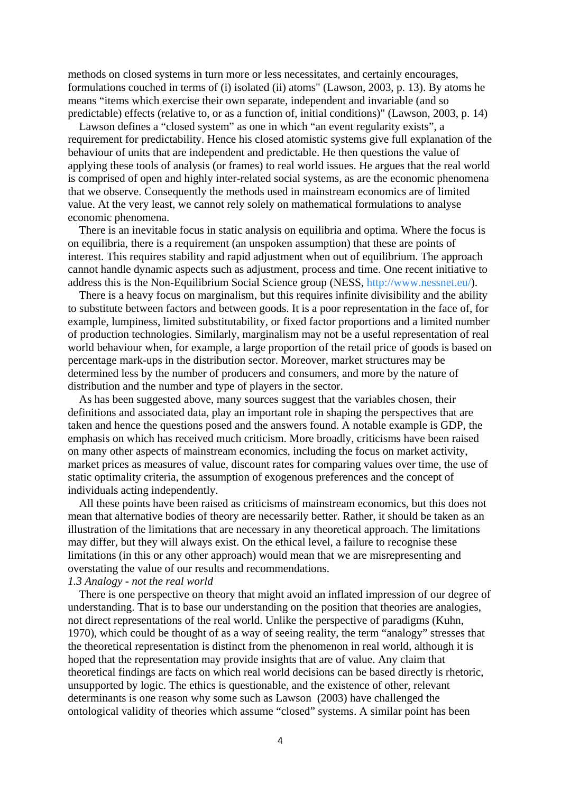methods on closed systems in turn more or less necessitates, and certainly encourages, formulations couched in terms of (i) isolated (ii) atoms" (Lawson, 2003, p. 13). By atoms he means "items which exercise their own separate, independent and invariable (and so predictable) effects (relative to, or as a function of, initial conditions)" (Lawson, 2003, p. 14)

Lawson defines a "closed system" as one in which "an event regularity exists", a requirement for predictability. Hence his closed atomistic systems give full explanation of the behaviour of units that are independent and predictable. He then questions the value of applying these tools of analysis (or frames) to real world issues. He argues that the real world is comprised of open and highly inter-related social systems, as are the economic phenomena that we observe. Consequently the methods used in mainstream economics are of limited value. At the very least, we cannot rely solely on mathematical formulations to analyse economic phenomena.

There is an inevitable focus in static analysis on equilibria and optima. Where the focus is on equilibria, there is a requirement (an unspoken assumption) that these are points of interest. This requires stability and rapid adjustment when out of equilibrium. The approach cannot handle dynamic aspects such as adjustment, process and time. One recent initiative to address this is the Non-Equilibrium Social Science group (NESS,<http://www.nessnet.eu/>).

There is a heavy focus on marginalism, but this requires infinite divisibility and the ability to substitute between factors and between goods. It is a poor representation in the face of, for example, lumpiness, limited substitutability, or fixed factor proportions and a limited number of production technologies. Similarly, marginalism may not be a useful representation of real world behaviour when, for example, a large proportion of the retail price of goods is based on percentage mark-ups in the distribution sector. Moreover, market structures may be determined less by the number of producers and consumers, and more by the nature of distribution and the number and type of players in the sector.

As has been suggested above, many sources suggest that the variables chosen, their definitions and associated data, play an important role in shaping the perspectives that are taken and hence the questions posed and the answers found. A notable example is GDP, the emphasis on which has received much criticism. More broadly, criticisms have been raised on many other aspects of mainstream economics, including the focus on market activity, market prices as measures of value, discount rates for comparing values over time, the use of static optimality criteria, the assumption of exogenous preferences and the concept of individuals acting independently.

All these points have been raised as criticisms of mainstream economics, but this does not mean that alternative bodies of theory are necessarily better. Rather, it should be taken as an illustration of the limitations that are necessary in any theoretical approach. The limitations may differ, but they will always exist. On the ethical level, a failure to recognise these limitations (in this or any other approach) would mean that we are misrepresenting and overstating the value of our results and recommendations.

## *1.3 Analogy - not the real world*

There is one perspective on theory that might avoid an inflated impression of our degree of understanding. That is to base our understanding on the position that theories are analogies, not direct representations of the real world. Unlike the perspective of paradigms (Kuhn, 1970), which could be thought of as a way of seeing reality, the term "analogy" stresses that the theoretical representation is distinct from the phenomenon in real world, although it is hoped that the representation may provide insights that are of value. Any claim that theoretical findings are facts on which real world decisions can be based directly is rhetoric, unsupported by logic. The ethics is questionable, and the existence of other, relevant determinants is one reason why some such as Lawson (2003) have challenged the ontological validity of theories which assume "closed" systems. A similar point has been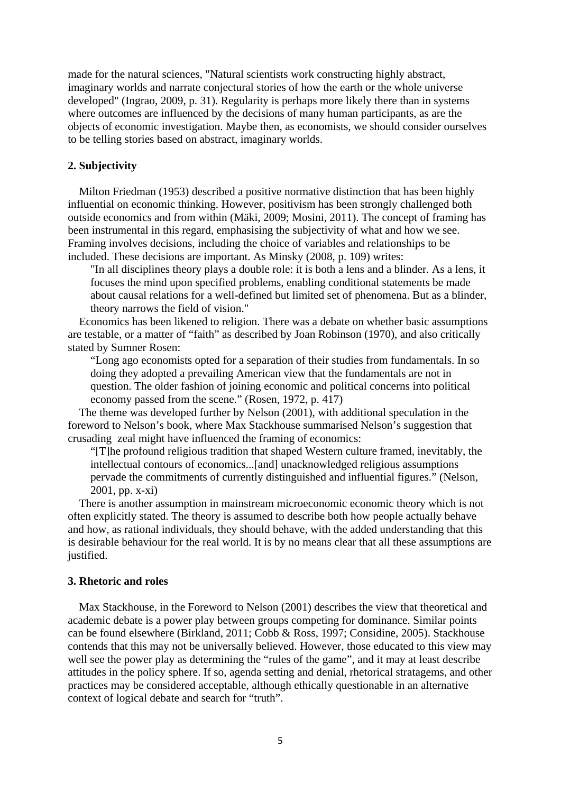made for the natural sciences, "Natural scientists work constructing highly abstract, imaginary worlds and narrate conjectural stories of how the earth or the whole universe developed" (Ingrao, 2009, p. 31). Regularity is perhaps more likely there than in systems where outcomes are influenced by the decisions of many human participants, as are the objects of economic investigation. Maybe then, as economists, we should consider ourselves to be telling stories based on abstract, imaginary worlds.

## **2. Subjectivity**

Milton Friedman (1953) described a positive normative distinction that has been highly influential on economic thinking. However, positivism has been strongly challenged both outside economics and from within (Mäki, 2009; Mosini, 2011). The concept of framing has been instrumental in this regard, emphasising the subjectivity of what and how we see. Framing involves decisions, including the choice of variables and relationships to be included. These decisions are important. As Minsky (2008, p. 109) writes:

"In all disciplines theory plays a double role: it is both a lens and a blinder. As a lens, it focuses the mind upon specified problems, enabling conditional statements be made about causal relations for a well-defined but limited set of phenomena. But as a blinder, theory narrows the field of vision."

Economics has been likened to religion. There was a debate on whether basic assumptions are testable, or a matter of "faith" as described by Joan Robinson (1970), and also critically stated by Sumner Rosen:

"Long ago economists opted for a separation of their studies from fundamentals. In so doing they adopted a prevailing American view that the fundamentals are not in question. The older fashion of joining economic and political concerns into political economy passed from the scene." (Rosen, 1972, p. 417)

The theme was developed further by Nelson (2001), with additional speculation in the foreword to Nelson's book, where Max Stackhouse summarised Nelson's suggestion that crusading zeal might have influenced the framing of economics:

"[T]he profound religious tradition that shaped Western culture framed, inevitably, the intellectual contours of economics...[and] unacknowledged religious assumptions pervade the commitments of currently distinguished and influential figures." (Nelson, 2001, pp. x-xi)

There is another assumption in mainstream microeconomic economic theory which is not often explicitly stated. The theory is assumed to describe both how people actually behave and how, as rational individuals, they should behave, with the added understanding that this is desirable behaviour for the real world. It is by no means clear that all these assumptions are justified.

#### **3. Rhetoric and roles**

Max Stackhouse, in the Foreword to Nelson (2001) describes the view that theoretical and academic debate is a power play between groups competing for dominance. Similar points can be found elsewhere (Birkland, 2011; Cobb & Ross, 1997; Considine, 2005). Stackhouse contends that this may not be universally believed. However, those educated to this view may well see the power play as determining the "rules of the game", and it may at least describe attitudes in the policy sphere. If so, agenda setting and denial, rhetorical stratagems, and other practices may be considered acceptable, although ethically questionable in an alternative context of logical debate and search for "truth".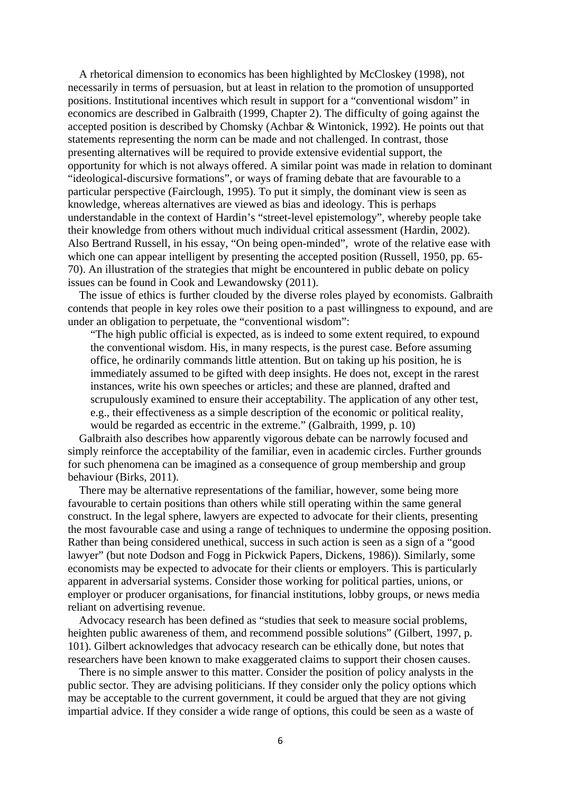A rhetorical dimension to economics has been highlighted by McCloskey (1998), not necessarily in terms of persuasion, but at least in relation to the promotion of unsupported positions. Institutional incentives which result in support for a "conventional wisdom" in economics are described in Galbraith (1999, Chapter 2). The difficulty of going against the accepted position is described by Chomsky (Achbar & Wintonick, 1992). He points out that statements representing the norm can be made and not challenged. In contrast, those presenting alternatives will be required to provide extensive evidential support, the opportunity for which is not always offered. A similar point was made in relation to dominant "ideological-discursive formations", or ways of framing debate that are favourable to a particular perspective (Fairclough, 1995). To put it simply, the dominant view is seen as knowledge, whereas alternatives are viewed as bias and ideology. This is perhaps understandable in the context of Hardin's "street-level epistemology", whereby people take their knowledge from others without much individual critical assessment (Hardin, 2002). Also Bertrand Russell, in his essay, "On being open-minded", wrote of the relative ease with which one can appear intelligent by presenting the accepted position (Russell, 1950, pp. 65-70). An illustration of the strategies that might be encountered in public debate on policy issues can be found in Cook and Lewandowsky (2011).

The issue of ethics is further clouded by the diverse roles played by economists. Galbraith contends that people in key roles owe their position to a past willingness to expound, and are under an obligation to perpetuate, the "conventional wisdom":

"The high public official is expected, as is indeed to some extent required, to expound the conventional wisdom. His, in many respects, is the purest case. Before assuming office, he ordinarily commands little attention. But on taking up his position, he is immediately assumed to be gifted with deep insights. He does not, except in the rarest instances, write his own speeches or articles; and these are planned, drafted and scrupulously examined to ensure their acceptability. The application of any other test, e.g., their effectiveness as a simple description of the economic or political reality, would be regarded as eccentric in the extreme." (Galbraith, 1999, p. 10)

Galbraith also describes how apparently vigorous debate can be narrowly focused and simply reinforce the acceptability of the familiar, even in academic circles. Further grounds for such phenomena can be imagined as a consequence of group membership and group behaviour (Birks, 2011).

There may be alternative representations of the familiar, however, some being more favourable to certain positions than others while still operating within the same general construct. In the legal sphere, lawyers are expected to advocate for their clients, presenting the most favourable case and using a range of techniques to undermine the opposing position. Rather than being considered unethical, success in such action is seen as a sign of a "good lawyer" (but note Dodson and Fogg in Pickwick Papers, Dickens, 1986)). Similarly, some economists may be expected to advocate for their clients or employers. This is particularly apparent in adversarial systems. Consider those working for political parties, unions, or employer or producer organisations, for financial institutions, lobby groups, or news media reliant on advertising revenue.

Advocacy research has been defined as "studies that seek to measure social problems, heighten public awareness of them, and recommend possible solutions" (Gilbert, 1997, p. 101). Gilbert acknowledges that advocacy research can be ethically done, but notes that researchers have been known to make exaggerated claims to support their chosen causes.

There is no simple answer to this matter. Consider the position of policy analysts in the public sector. They are advising politicians. If they consider only the policy options which may be acceptable to the current government, it could be argued that they are not giving impartial advice. If they consider a wide range of options, this could be seen as a waste of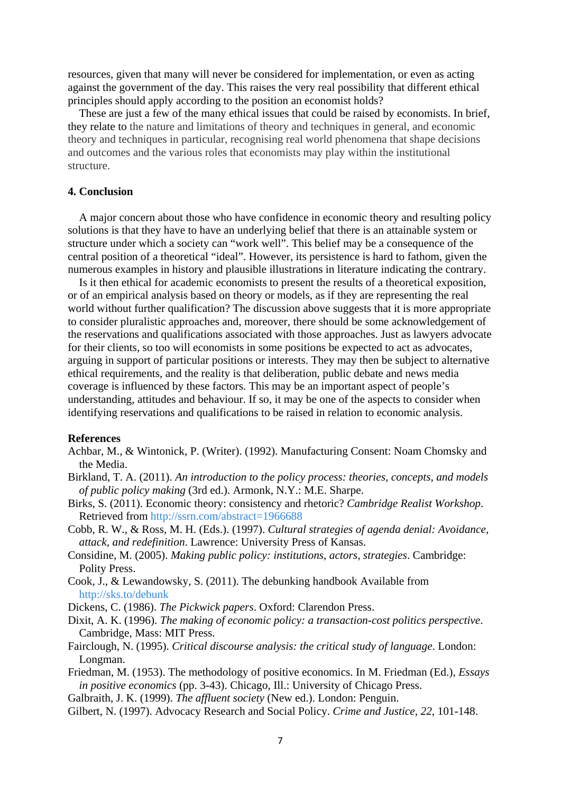resources, given that many will never be considered for implementation, or even as acting against the government of the day. This raises the very real possibility that different ethical principles should apply according to the position an economist holds?

These are just a few of the many ethical issues that could be raised by economists. In brief, they relate to the nature and limitations of theory and techniques in general, and economic theory and techniques in particular, recognising real world phenomena that shape decisions and outcomes and the various roles that economists may play within the institutional structure.

## **4. Conclusion**

A major concern about those who have confidence in economic theory and resulting policy solutions is that they have to have an underlying belief that there is an attainable system or structure under which a society can "work well". This belief may be a consequence of the central position of a theoretical "ideal". However, its persistence is hard to fathom, given the numerous examples in history and plausible illustrations in literature indicating the contrary.

Is it then ethical for academic economists to present the results of a theoretical exposition, or of an empirical analysis based on theory or models, as if they are representing the real world without further qualification? The discussion above suggests that it is more appropriate to consider pluralistic approaches and, moreover, there should be some acknowledgement of the reservations and qualifications associated with those approaches. Just as lawyers advocate for their clients, so too will economists in some positions be expected to act as advocates, arguing in support of particular positions or interests. They may then be subject to alternative ethical requirements, and the reality is that deliberation, public debate and news media coverage is influenced by these factors. This may be an important aspect of people's understanding, attitudes and behaviour. If so, it may be one of the aspects to consider when identifying reservations and qualifications to be raised in relation to economic analysis.

### **References**

- Achbar, M., & Wintonick, P. (Writer). (1992). Manufacturing Consent: Noam Chomsky and the Media.
- Birkland, T. A. (2011). *An introduction to the policy process: theories, concepts, and models of public policy making* (3rd ed.). Armonk, N.Y.: M.E. Sharpe.
- Birks, S. (2011). Economic theory: consistency and rhetoric? *Cambridge Realist Workshop*. Retrieved from <http://ssrn.com/abstract=1966688>
- Cobb, R. W., & Ross, M. H. (Eds.). (1997). *Cultural strategies of agenda denial: Avoidance, attack, and redefinition*. Lawrence: University Press of Kansas.
- Considine, M. (2005). *Making public policy: institutions, actors, strategies*. Cambridge: Polity Press.
- Cook, J., & Lewandowsky, S. (2011). The debunking handbook Available from <http://sks.to/debunk>
- Dickens, C. (1986). *The Pickwick papers*. Oxford: Clarendon Press.
- Dixit, A. K. (1996). *The making of economic policy: a transaction-cost politics perspective*. Cambridge, Mass: MIT Press.
- Fairclough, N. (1995). *Critical discourse analysis: the critical study of language*. London: Longman.
- Friedman, M. (1953). The methodology of positive economics. In M. Friedman (Ed.), *Essays in positive economics* (pp. 3-43). Chicago, Ill.: University of Chicago Press.
- Galbraith, J. K. (1999). *The affluent society* (New ed.). London: Penguin.
- Gilbert, N. (1997). Advocacy Research and Social Policy. *Crime and Justice, 22*, 101-148.